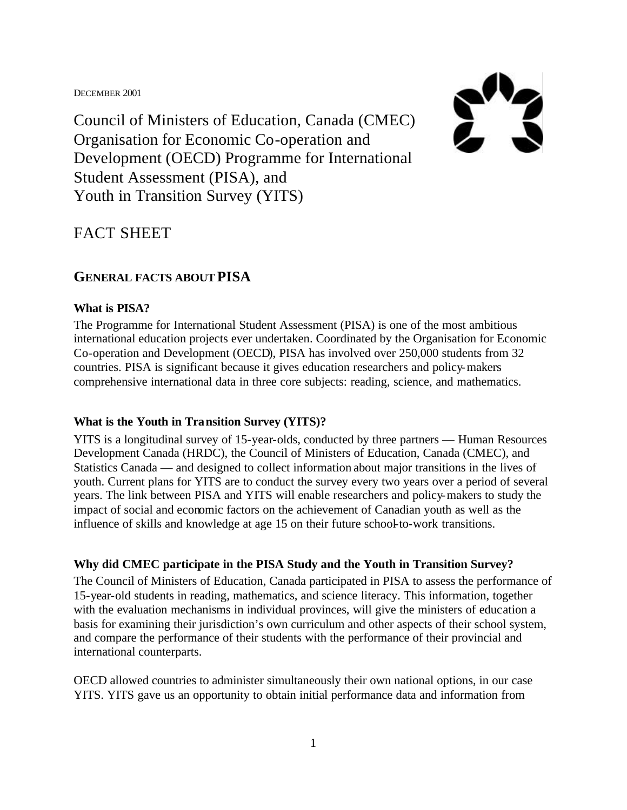DECEMBER 2001



Council of Ministers of Education, Canada (CMEC) Organisation for Economic Co-operation and Development (OECD) Programme for International Student Assessment (PISA), and Youth in Transition Survey (YITS)

# FACT SHEET

# **GENERAL FACTS ABOUT PISA**

### **What is PISA?**

The Programme for International Student Assessment (PISA) is one of the most ambitious international education projects ever undertaken. Coordinated by the Organisation for Economic Co-operation and Development (OECD), PISA has involved over 250,000 students from 32 countries. PISA is significant because it gives education researchers and policy-makers comprehensive international data in three core subjects: reading, science, and mathematics.

# **What is the Youth in Transition Survey (YITS)?**

YITS is a longitudinal survey of 15-year-olds, conducted by three partners — Human Resources Development Canada (HRDC), the Council of Ministers of Education, Canada (CMEC), and Statistics Canada — and designed to collect information about major transitions in the lives of youth. Current plans for YITS are to conduct the survey every two years over a period of several years. The link between PISA and YITS will enable researchers and policy-makers to study the impact of social and economic factors on the achievement of Canadian youth as well as the influence of skills and knowledge at age 15 on their future school-to-work transitions.

# **Why did CMEC participate in the PISA Study and the Youth in Transition Survey?**

The Council of Ministers of Education, Canada participated in PISA to assess the performance of 15-year-old students in reading, mathematics, and science literacy. This information, together with the evaluation mechanisms in individual provinces, will give the ministers of education a basis for examining their jurisdiction's own curriculum and other aspects of their school system, and compare the performance of their students with the performance of their provincial and international counterparts.

OECD allowed countries to administer simultaneously their own national options, in our case YITS. YITS gave us an opportunity to obtain initial performance data and information from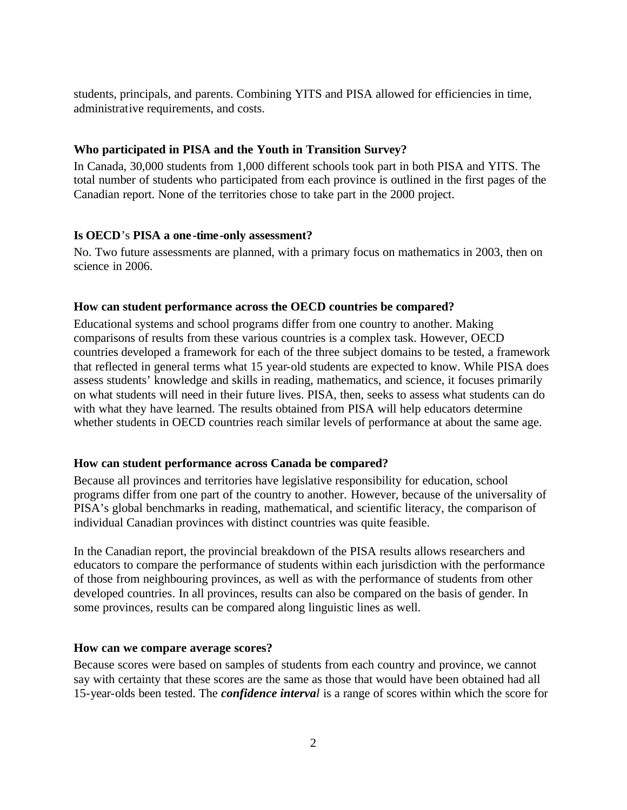students, principals, and parents. Combining YITS and PISA allowed for efficiencies in time, administrative requirements, and costs.

### **Who participated in PISA and the Youth in Transition Survey?**

In Canada, 30,000 students from 1,000 different schools took part in both PISA and YITS. The total number of students who participated from each province is outlined in the first pages of the Canadian report. None of the territories chose to take part in the 2000 project.

#### **Is OECD**'s **PISA a one -time-only assessment?**

No. Two future assessments are planned, with a primary focus on mathematics in 2003, then on science in 2006.

#### **How can student performance across the OECD countries be compared?**

Educational systems and school programs differ from one country to another. Making comparisons of results from these various countries is a complex task. However, OECD countries developed a framework for each of the three subject domains to be tested, a framework that reflected in general terms what 15 year-old students are expected to know. While PISA does assess students' knowledge and skills in reading, mathematics, and science, it focuses primarily on what students will need in their future lives. PISA, then, seeks to assess what students can do with what they have learned. The results obtained from PISA will help educators determine whether students in OECD countries reach similar levels of performance at about the same age.

#### **How can student performance across Canada be compared?**

Because all provinces and territories have legislative responsibility for education, school programs differ from one part of the country to another. However, because of the universality of PISA's global benchmarks in reading, mathematical, and scientific literacy, the comparison of individual Canadian provinces with distinct countries was quite feasible.

In the Canadian report, the provincial breakdown of the PISA results allows researchers and educators to compare the performance of students within each jurisdiction with the performance of those from neighbouring provinces, as well as with the performance of students from other developed countries. In all provinces, results can also be compared on the basis of gender. In some provinces, results can be compared along linguistic lines as well.

#### **How can we compare average scores?**

Because scores were based on samples of students from each country and province, we cannot say with certainty that these scores are the same as those that would have been obtained had all 15-year-olds been tested. The *confidence interval* is a range of scores within which the score for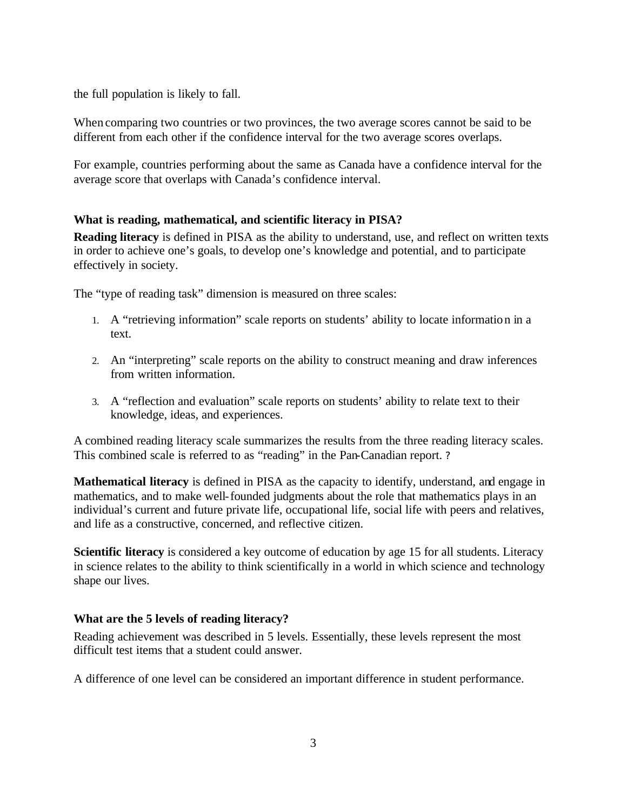the full population is likely to fall.

When comparing two countries or two provinces, the two average scores cannot be said to be different from each other if the confidence interval for the two average scores overlaps.

For example, countries performing about the same as Canada have a confidence interval for the average score that overlaps with Canada's confidence interval.

### **What is reading, mathematical, and scientific literacy in PISA?**

**Reading literacy** is defined in PISA as the ability to understand, use, and reflect on written texts in order to achieve one's goals, to develop one's knowledge and potential, and to participate effectively in society.

The "type of reading task" dimension is measured on three scales:

- 1. A "retrieving information" scale reports on students' ability to locate information in a text.
- 2. An "interpreting" scale reports on the ability to construct meaning and draw inferences from written information.
- 3. A "reflection and evaluation" scale reports on students' ability to relate text to their knowledge, ideas, and experiences.

A combined reading literacy scale summarizes the results from the three reading literacy scales. This combined scale is referred to as "reading" in the Pan-Canadian report. ?

**Mathematical literacy** is defined in PISA as the capacity to identify, understand, and engage in mathematics, and to make well-founded judgments about the role that mathematics plays in an individual's current and future private life, occupational life, social life with peers and relatives, and life as a constructive, concerned, and reflective citizen.

**Scientific literacy** is considered a key outcome of education by age 15 for all students. Literacy in science relates to the ability to think scientifically in a world in which science and technology shape our lives.

### **What are the 5 levels of reading literacy?**

Reading achievement was described in 5 levels. Essentially, these levels represent the most difficult test items that a student could answer.

A difference of one level can be considered an important difference in student performance.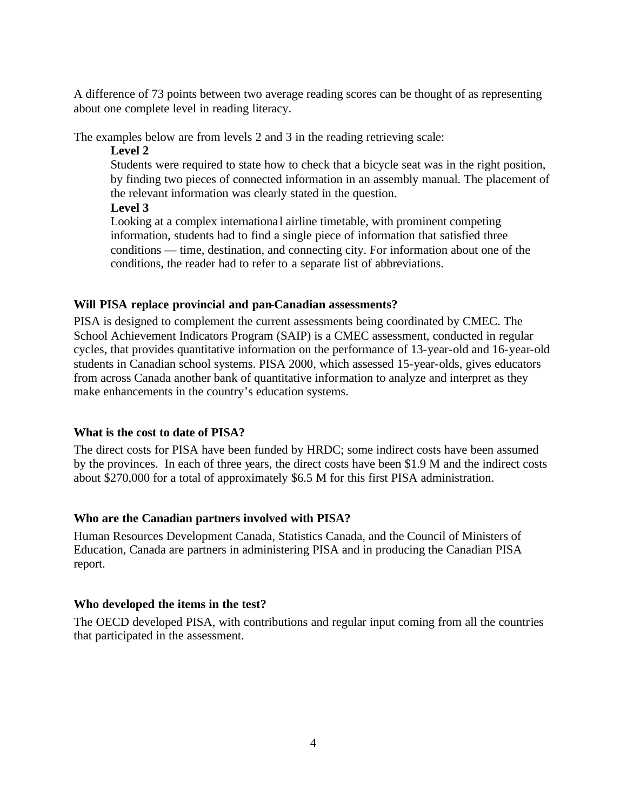A difference of 73 points between two average reading scores can be thought of as representing about one complete level in reading literacy.

The examples below are from levels 2 and 3 in the reading retrieving scale:

#### **Level 2**

Students were required to state how to check that a bicycle seat was in the right position, by finding two pieces of connected information in an assembly manual. The placement of the relevant information was clearly stated in the question.

### **Level 3**

Looking at a complex internationa l airline timetable, with prominent competing information, students had to find a single piece of information that satisfied three conditions — time, destination, and connecting city. For information about one of the conditions, the reader had to refer to a separate list of abbreviations.

### **Will PISA replace provincial and pan-Canadian assessments?**

PISA is designed to complement the current assessments being coordinated by CMEC. The School Achievement Indicators Program (SAIP) is a CMEC assessment, conducted in regular cycles, that provides quantitative information on the performance of 13-year-old and 16-year-old students in Canadian school systems. PISA 2000, which assessed 15-year-olds, gives educators from across Canada another bank of quantitative information to analyze and interpret as they make enhancements in the country's education systems.

# **What is the cost to date of PISA?**

The direct costs for PISA have been funded by HRDC; some indirect costs have been assumed by the provinces. In each of three years, the direct costs have been \$1.9 M and the indirect costs about \$270,000 for a total of approximately \$6.5 M for this first PISA administration.

# **Who are the Canadian partners involved with PISA?**

Human Resources Development Canada, Statistics Canada, and the Council of Ministers of Education, Canada are partners in administering PISA and in producing the Canadian PISA report.

### **Who developed the items in the test?**

The OECD developed PISA, with contributions and regular input coming from all the countries that participated in the assessment.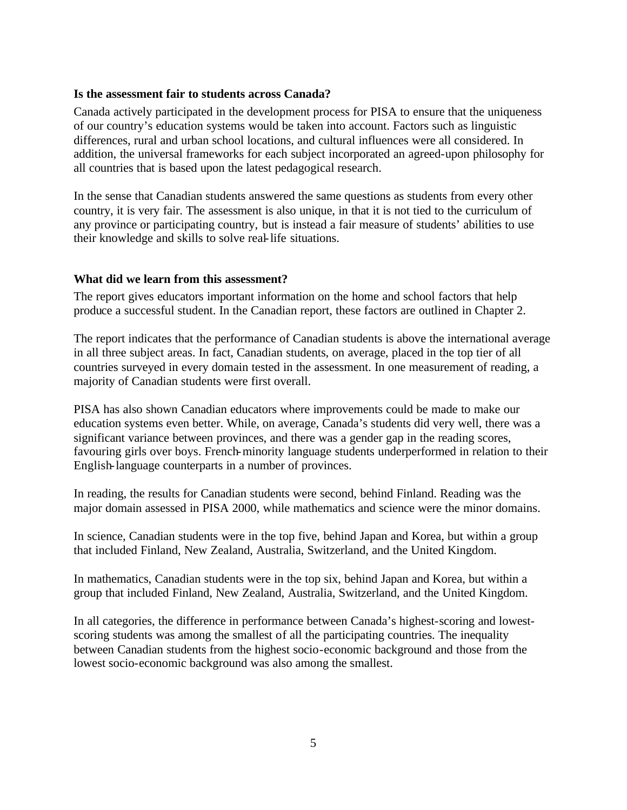#### **Is the assessment fair to students across Canada?**

Canada actively participated in the development process for PISA to ensure that the uniqueness of our country's education systems would be taken into account. Factors such as linguistic differences, rural and urban school locations, and cultural influences were all considered. In addition, the universal frameworks for each subject incorporated an agreed-upon philosophy for all countries that is based upon the latest pedagogical research.

In the sense that Canadian students answered the same questions as students from every other country, it is very fair. The assessment is also unique, in that it is not tied to the curriculum of any province or participating country, but is instead a fair measure of students' abilities to use their knowledge and skills to solve real-life situations.

#### **What did we learn from this assessment?**

The report gives educators important information on the home and school factors that help produce a successful student. In the Canadian report, these factors are outlined in Chapter 2.

The report indicates that the performance of Canadian students is above the international average in all three subject areas. In fact, Canadian students, on average, placed in the top tier of all countries surveyed in every domain tested in the assessment. In one measurement of reading, a majority of Canadian students were first overall.

PISA has also shown Canadian educators where improvements could be made to make our education systems even better. While, on average, Canada's students did very well, there was a significant variance between provinces, and there was a gender gap in the reading scores, favouring girls over boys. French-minority language students underperformed in relation to their English-language counterparts in a number of provinces.

In reading, the results for Canadian students were second, behind Finland. Reading was the major domain assessed in PISA 2000, while mathematics and science were the minor domains.

In science, Canadian students were in the top five, behind Japan and Korea, but within a group that included Finland, New Zealand, Australia, Switzerland, and the United Kingdom.

In mathematics, Canadian students were in the top six, behind Japan and Korea, but within a group that included Finland, New Zealand, Australia, Switzerland, and the United Kingdom.

In all categories, the difference in performance between Canada's highest-scoring and lowestscoring students was among the smallest of all the participating countries. The inequality between Canadian students from the highest socio-economic background and those from the lowest socio-economic background was also among the smallest.